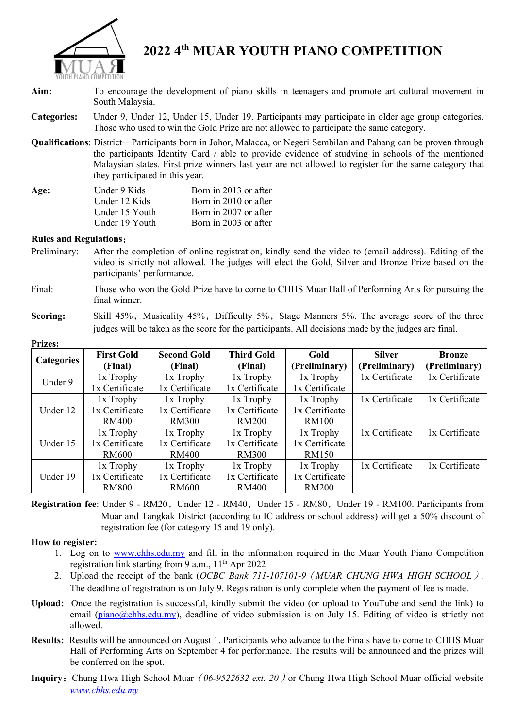

# **2022 4th MUAR YOUTH PIANO COMPETITION**

- **Aim:** To encourage the development of piano skills in teenagers and promote art cultural movement in South Malaysia.
- **Categories:** Under 9, Under 12, Under 15, Under 19. Participants may participate in older age group categories. Those who used to win the Gold Prize are not allowed to participate the same category.
- **Qualifications**: District—Participants born in Johor, Malacca, or Negeri Sembilan and Pahang can be proven through the participants Identity Card / able to provide evidence of studying in schools of the mentioned Malaysian states. First prize winners last year are not allowed to register for the same category that they participated in this year.

| Age: | Under 9 Kids   | Born in 2013 or after |
|------|----------------|-----------------------|
|      | Under 12 Kids  | Born in 2010 or after |
|      | Under 15 Youth | Born in 2007 or after |
|      | Under 19 Youth | Born in 2003 or after |

#### **Rules and Regulations**:

- Preliminary: After the completion of online registration, kindly send the video to (email address). Editing of the video is strictly not allowed. The judges will elect the Gold, Silver and Bronze Prize based on the participants' performance.
- Final: Those who won the Gold Prize have to come to CHHS Muar Hall of Performing Arts for pursuing the final winner.
- **Scoring:** Skill 45%, Musicality 45%, Difficulty 5%, Stage Manners 5%. The average score of the three judges will be taken as the score for the participants. All decisions made by the judges are final.

| <b>Categories</b> | <b>First Gold</b> | <b>Second Gold</b> | <b>Third Gold</b> | Gold           | <b>Silver</b>  | <b>Bronze</b>  |
|-------------------|-------------------|--------------------|-------------------|----------------|----------------|----------------|
|                   | (Final)           | (Final)            | (Final)           | (Preliminary)  | (Preliminary)  | (Preliminary)  |
| Under 9           | 1x Trophy         | 1x Trophy          | 1x Trophy         | $1x$ Trophy    | 1x Certificate | 1x Certificate |
|                   | 1x Certificate    | 1x Certificate     | 1x Certificate    | 1x Certificate |                |                |
| Under 12          | 1x Trophy         | 1x Trophy          | 1x Trophy         | $1x$ Trophy    | 1x Certificate | 1x Certificate |
|                   | 1x Certificate    | 1x Certificate     | 1x Certificate    | 1x Certificate |                |                |
|                   | RM400             | <b>RM300</b>       | <b>RM200</b>      | <b>RM100</b>   |                |                |
| Under 15          | 1x Trophy         | 1x Trophy          | 1x Trophy         | 1x Trophy      | 1x Certificate | 1x Certificate |
|                   | 1x Certificate    | 1x Certificate     | 1x Certificate    | 1x Certificate |                |                |
|                   | RM600             | <b>RM400</b>       | <b>RM300</b>      | <b>RM150</b>   |                |                |
| Under 19          | 1x Trophy         | 1x Trophy          | $1x$ Trophy       | 1x Trophy      | 1x Certificate | 1x Certificate |
|                   | 1x Certificate    | 1x Certificate     | 1x Certificate    | 1x Certificate |                |                |
|                   | <b>RM800</b>      | RM600              | <b>RM400</b>      | <b>RM200</b>   |                |                |

**Prizes:** 

Registration fee: Under 9 - RM20, Under 12 - RM40, Under 15 - RM80, Under 19 - RM100. Participants from Muar and Tangkak District (according to IC address or school address) will get a 50% discount of registration fee (for category 15 and 19 only).

### **How to register:**

- 1. Log on to [www.chhs.edu.my](http://www.chhs.edu.my/) and fill in the information required in the Muar Youth Piano Competition registration link starting from 9 a.m.,  $11<sup>th</sup>$  Apr 2022
- 2. Upload the receipt of the bank (*OCBC Bank 711-107101-9*(*MUAR CHUNG HWA HIGH SCHOOL*)*.*  The deadline of registration is on July 9. Registration is only complete when the payment of fee is made.
- **Upload:** Once the registration is successful, kindly submit the video (or upload to YouTube and send the link) to email [\(piano@chhs.edu.my\)](mailto:piano@chhs.edu.my), deadline of video submission is on July 15. Editing of video is strictly not allowed.
- **Results:** Results will be announced on August 1. Participants who advance to the Finals have to come to CHHS Muar Hall of Performing Arts on September 4 for performance. The results will be announced and the prizes will be conferred on the spot.
- **Inquiry:** Chung Hwa High School Muar (06-9522632 ext. 20) or Chung Hwa High School Muar official website *www.chhs.edu.my*